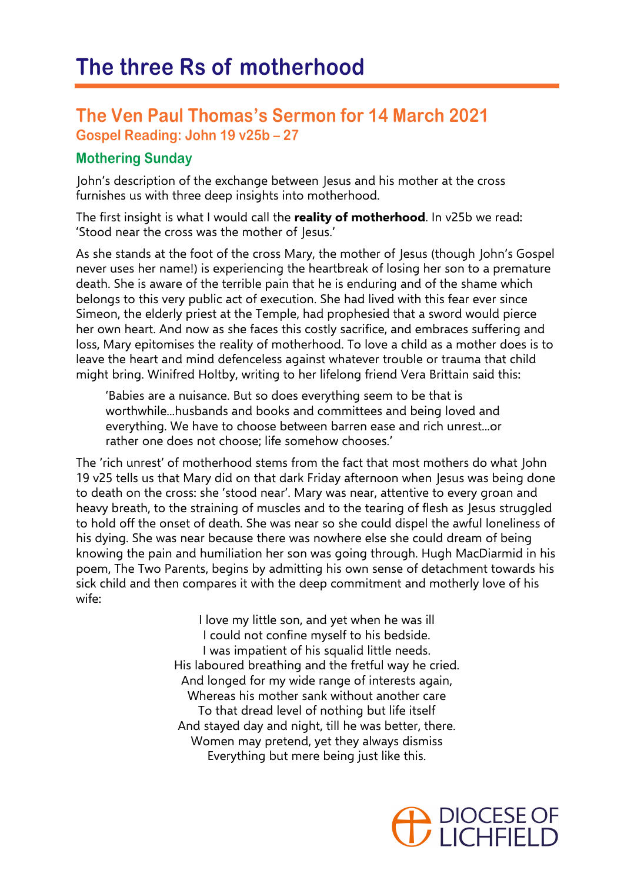## **The Ven Paul Thomas's Sermon for 14 March 2021 Gospel Reading: John 19 v25b – 27**

## **Mothering Sunday**

John's description of the exchange between Jesus and his mother at the cross furnishes us with three deep insights into motherhood.

The first insight is what I would call the **reality of motherhood**. In v25b we read: 'Stood near the cross was the mother of Jesus.'

As she stands at the foot of the cross Mary, the mother of Jesus (though John's Gospel never uses her name!) is experiencing the heartbreak of losing her son to a premature death. She is aware of the terrible pain that he is enduring and of the shame which belongs to this very public act of execution. She had lived with this fear ever since Simeon, the elderly priest at the Temple, had prophesied that a sword would pierce her own heart. And now as she faces this costly sacrifice, and embraces suffering and loss, Mary epitomises the reality of motherhood. To love a child as a mother does is to leave the heart and mind defenceless against whatever trouble or trauma that child might bring. Winifred Holtby, writing to her lifelong friend Vera Brittain said this:

'Babies are a nuisance. But so does everything seem to be that is worthwhile...husbands and books and committees and being loved and everything. We have to choose between barren ease and rich unrest...or rather one does not choose; life somehow chooses.'

The 'rich unrest' of motherhood stems from the fact that most mothers do what John 19 v25 tells us that Mary did on that dark Friday afternoon when Jesus was being done to death on the cross: she 'stood near'. Mary was near, attentive to every groan and heavy breath, to the straining of muscles and to the tearing of flesh as Jesus struggled to hold off the onset of death. She was near so she could dispel the awful loneliness of his dying. She was near because there was nowhere else she could dream of being knowing the pain and humiliation her son was going through. Hugh MacDiarmid in his poem, The Two Parents, begins by admitting his own sense of detachment towards his sick child and then compares it with the deep commitment and motherly love of his wife:

> I love my little son, and yet when he was ill I could not confine myself to his bedside. I was impatient of his squalid little needs. His laboured breathing and the fretful way he cried. And longed for my wide range of interests again, Whereas his mother sank without another care To that dread level of nothing but life itself And stayed day and night, till he was better, there. Women may pretend, yet they always dismiss Everything but mere being just like this.

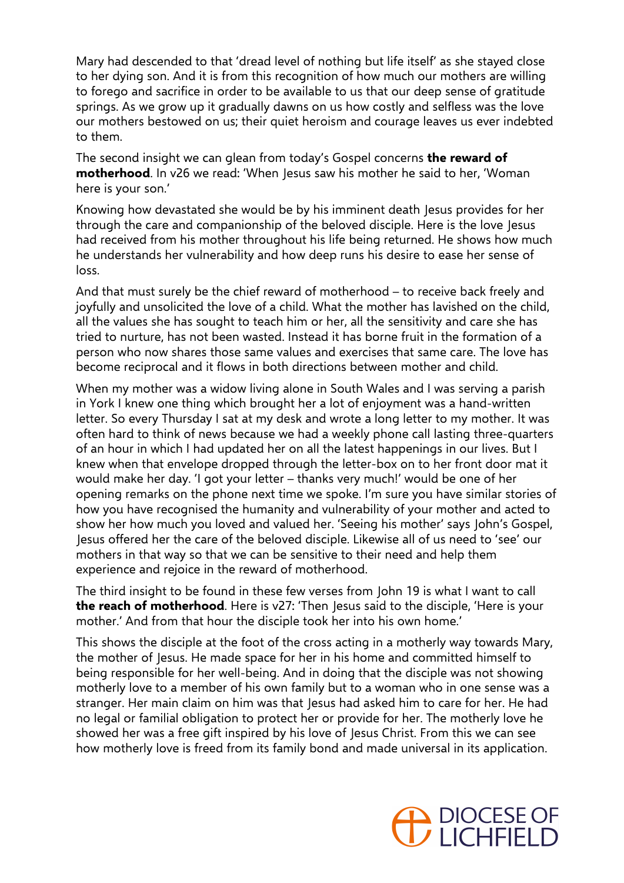Mary had descended to that 'dread level of nothing but life itself' as she stayed close to her dying son. And it is from this recognition of how much our mothers are willing to forego and sacrifice in order to be available to us that our deep sense of gratitude springs. As we grow up it gradually dawns on us how costly and selfless was the love our mothers bestowed on us; their quiet heroism and courage leaves us ever indebted to them.

The second insight we can glean from today's Gospel concerns **the reward of motherhood**. In v26 we read: 'When Jesus saw his mother he said to her, 'Woman here is your son.'

Knowing how devastated she would be by his imminent death Jesus provides for her through the care and companionship of the beloved disciple. Here is the love Jesus had received from his mother throughout his life being returned. He shows how much he understands her vulnerability and how deep runs his desire to ease her sense of loss.

And that must surely be the chief reward of motherhood – to receive back freely and joyfully and unsolicited the love of a child. What the mother has lavished on the child, all the values she has sought to teach him or her, all the sensitivity and care she has tried to nurture, has not been wasted. Instead it has borne fruit in the formation of a person who now shares those same values and exercises that same care. The love has become reciprocal and it flows in both directions between mother and child.

When my mother was a widow living alone in South Wales and I was serving a parish in York I knew one thing which brought her a lot of enjoyment was a hand-written letter. So every Thursday I sat at my desk and wrote a long letter to my mother. It was often hard to think of news because we had a weekly phone call lasting three-quarters of an hour in which I had updated her on all the latest happenings in our lives. But I knew when that envelope dropped through the letter-box on to her front door mat it would make her day. 'I got your letter – thanks very much!' would be one of her opening remarks on the phone next time we spoke. I'm sure you have similar stories of how you have recognised the humanity and vulnerability of your mother and acted to show her how much you loved and valued her. 'Seeing his mother' says John's Gospel, Jesus offered her the care of the beloved disciple. Likewise all of us need to 'see' our mothers in that way so that we can be sensitive to their need and help them experience and rejoice in the reward of motherhood.

The third insight to be found in these few verses from John 19 is what I want to call **the reach of motherhood**. Here is v27: 'Then Jesus said to the disciple, 'Here is your mother.' And from that hour the disciple took her into his own home.'

This shows the disciple at the foot of the cross acting in a motherly way towards Mary, the mother of Jesus. He made space for her in his home and committed himself to being responsible for her well-being. And in doing that the disciple was not showing motherly love to a member of his own family but to a woman who in one sense was a stranger. Her main claim on him was that Jesus had asked him to care for her. He had no legal or familial obligation to protect her or provide for her. The motherly love he showed her was a free gift inspired by his love of Jesus Christ. From this we can see how motherly love is freed from its family bond and made universal in its application.